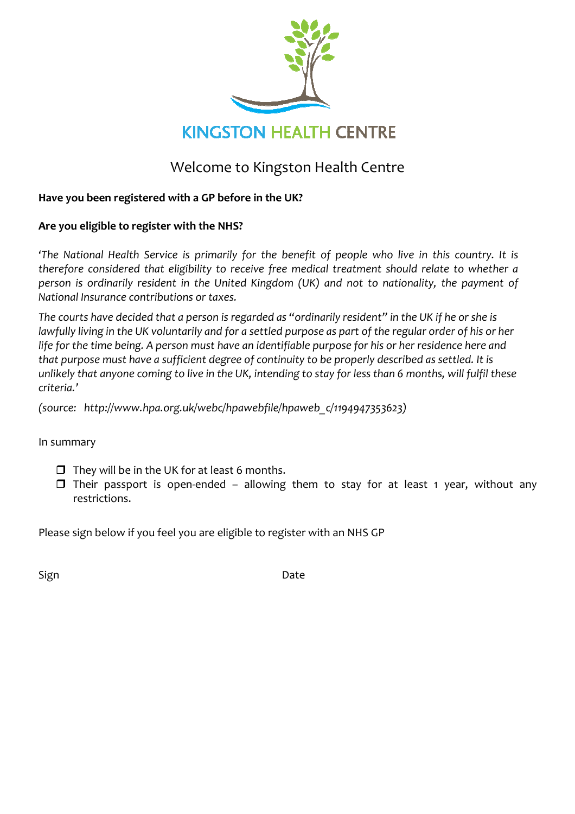

# Welcome to Kingston Health Centre

### Have you been registered with a GP before in the UK?

### Are you eligible to register with the NHS?

'The National Health Service is primarily for the benefit of people who live in this country. It is therefore considered that eligibility to receive free medical treatment should relate to whether a person is ordinarily resident in the United Kingdom (UK) and not to nationality, the payment of National Insurance contributions or taxes.

The courts have decided that a person is regarded as "ordinarily resident" in the UK if he or she is lawfully living in the UK voluntarily and for a settled purpose as part of the regular order of his or her life for the time being. A person must have an identifiable purpose for his or her residence here and that purpose must have a sufficient degree of continuity to be properly described as settled. It is unlikely that anyone coming to live in the UK, intending to stay for less than 6 months, will fulfil these criteria.'

(source: http://www.hpa.org.uk/webc/hpawebfile/hpaweb\_c/1194947353623)

In summary

- $\Box$  They will be in the UK for at least 6 months.
- $\Box$  Their passport is open-ended allowing them to stay for at least 1 year, without any restrictions.

Please sign below if you feel you are eligible to register with an NHS GP

Sign **Date**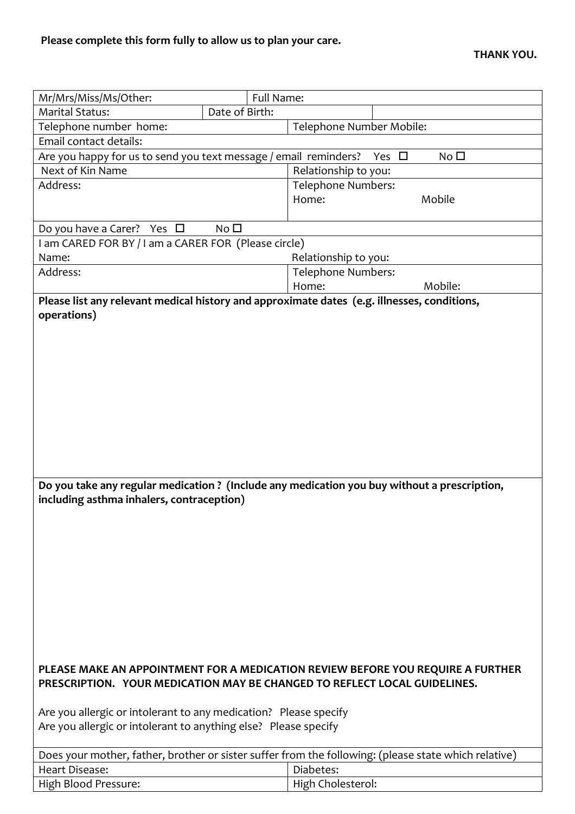| Mr/Mrs/Miss/Ms/Other:                                                           | Full Name:               |                                                                                                      |  |  |  |
|---------------------------------------------------------------------------------|--------------------------|------------------------------------------------------------------------------------------------------|--|--|--|
| <b>Marital Status:</b>                                                          | Date of Birth:           |                                                                                                      |  |  |  |
| Telephone number home:                                                          | Telephone Number Mobile: |                                                                                                      |  |  |  |
| Email contact details:                                                          |                          |                                                                                                      |  |  |  |
| Are you happy for us to send you text message / email reminders?                |                          | No <sub>1</sub><br>Yes $\Box$                                                                        |  |  |  |
| Next of Kin Name                                                                |                          | Relationship to you:                                                                                 |  |  |  |
| Address:                                                                        |                          | <b>Telephone Numbers:</b>                                                                            |  |  |  |
|                                                                                 |                          | Home:<br>Mobile                                                                                      |  |  |  |
|                                                                                 |                          |                                                                                                      |  |  |  |
| Do you have a Carer? Yes $\Box$                                                 | No <sub>1</sub>          |                                                                                                      |  |  |  |
| I am CARED FOR BY / I am a CARER FOR (Please circle)                            |                          |                                                                                                      |  |  |  |
| Name:                                                                           |                          | Relationship to you:                                                                                 |  |  |  |
| Address:                                                                        |                          | Telephone Numbers:                                                                                   |  |  |  |
|                                                                                 |                          | Mobile:<br>Home:                                                                                     |  |  |  |
|                                                                                 |                          | Please list any relevant medical history and approximate dates (e.g. illnesses, conditions,          |  |  |  |
| operations)                                                                     |                          |                                                                                                      |  |  |  |
|                                                                                 |                          |                                                                                                      |  |  |  |
|                                                                                 |                          |                                                                                                      |  |  |  |
|                                                                                 |                          |                                                                                                      |  |  |  |
|                                                                                 |                          |                                                                                                      |  |  |  |
|                                                                                 |                          |                                                                                                      |  |  |  |
|                                                                                 |                          |                                                                                                      |  |  |  |
|                                                                                 |                          |                                                                                                      |  |  |  |
|                                                                                 |                          |                                                                                                      |  |  |  |
|                                                                                 |                          |                                                                                                      |  |  |  |
|                                                                                 |                          |                                                                                                      |  |  |  |
|                                                                                 |                          |                                                                                                      |  |  |  |
|                                                                                 |                          |                                                                                                      |  |  |  |
|                                                                                 |                          |                                                                                                      |  |  |  |
|                                                                                 |                          | Do you take any regular medication? (Include any medication you buy without a prescription,          |  |  |  |
| including asthma inhalers, contraception)                                       |                          |                                                                                                      |  |  |  |
|                                                                                 |                          |                                                                                                      |  |  |  |
|                                                                                 |                          |                                                                                                      |  |  |  |
|                                                                                 |                          |                                                                                                      |  |  |  |
|                                                                                 |                          |                                                                                                      |  |  |  |
|                                                                                 |                          |                                                                                                      |  |  |  |
|                                                                                 |                          |                                                                                                      |  |  |  |
|                                                                                 |                          |                                                                                                      |  |  |  |
|                                                                                 |                          |                                                                                                      |  |  |  |
|                                                                                 |                          |                                                                                                      |  |  |  |
|                                                                                 |                          |                                                                                                      |  |  |  |
|                                                                                 |                          |                                                                                                      |  |  |  |
|                                                                                 |                          |                                                                                                      |  |  |  |
| PLEASE MAKE AN APPOINTMENT FOR A MEDICATION REVIEW BEFORE YOU REQUIRE A FURTHER |                          |                                                                                                      |  |  |  |
| PRESCRIPTION. YOUR MEDICATION MAY BE CHANGED TO REFLECT LOCAL GUIDELINES.       |                          |                                                                                                      |  |  |  |
|                                                                                 |                          |                                                                                                      |  |  |  |
| Are you allergic or intolerant to any medication? Please specify                |                          |                                                                                                      |  |  |  |
| Are you allergic or intolerant to anything else? Please specify                 |                          |                                                                                                      |  |  |  |
|                                                                                 |                          |                                                                                                      |  |  |  |
|                                                                                 |                          | Does your mother, father, brother or sister suffer from the following: (please state which relative) |  |  |  |
| Heart Disease:                                                                  |                          | Diabetes:                                                                                            |  |  |  |
| High Blood Pressure:                                                            |                          | High Cholesterol:                                                                                    |  |  |  |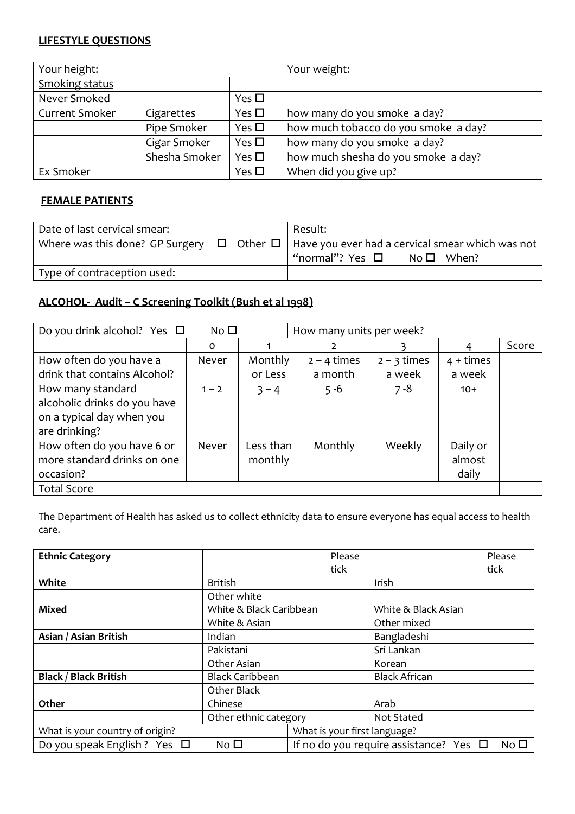## LIFESTYLE QUESTIONS

| Your height:          |               |               | Your weight:                         |
|-----------------------|---------------|---------------|--------------------------------------|
| <b>Smoking status</b> |               |               |                                      |
| Never Smoked          |               | Yes $\Box$    |                                      |
| <b>Current Smoker</b> | Cigarettes    | Yes $\Box$    | how many do you smoke a day?         |
|                       | Pipe Smoker   | Yes $\square$ | how much tobacco do you smoke a day? |
|                       | Cigar Smoker  | Yes $\square$ | how many do you smoke a day?         |
|                       | Shesha Smoker | Yes $\square$ | how much shesha do you smoke a day?  |
| Ex Smoker             |               | Yes $\square$ | When did you give up?                |

#### FEMALE PATIENTS

| Date of last cervical smear: | Result:                                                                                                                                      |
|------------------------------|----------------------------------------------------------------------------------------------------------------------------------------------|
|                              | Where was this done? GP Surgery $\Box$ Other $\Box$   Have you ever had a cervical smear which was not<br>"normal"? Yes □<br>$No \Box$ When? |
| Type of contraception used:  |                                                                                                                                              |

## ALCOHOL- Audit – C Screening Toolkit (Bush et al 1998)

| Do you drink alcohol? Yes $\Box$<br>No <sub>1</sub><br>How many units per week? |              |           |               |               |             |       |
|---------------------------------------------------------------------------------|--------------|-----------|---------------|---------------|-------------|-------|
|                                                                                 | 0            |           |               |               | 4           | Score |
| How often do you have a                                                         | <b>Never</b> | Monthly   | $2 - 4$ times | $2 - 3$ times | $4 + times$ |       |
| drink that contains Alcohol?                                                    |              | or Less   | a month       | a week        | a week      |       |
| How many standard                                                               | $1 - 2$      | $3 - 4$   | $5 - 6$       | $7 - 8$       | $10+$       |       |
| alcoholic drinks do you have                                                    |              |           |               |               |             |       |
| on a typical day when you                                                       |              |           |               |               |             |       |
| are drinking?                                                                   |              |           |               |               |             |       |
| How often do you have 6 or                                                      | Never        | Less than | Monthly       | Weekly        | Daily or    |       |
| more standard drinks on one                                                     |              | monthly   |               |               | almost      |       |
| occasion?                                                                       |              |           |               |               | daily       |       |
| <b>Total Score</b>                                                              |              |           |               |               |             |       |

The Department of Health has asked us to collect ethnicity data to ensure everyone has equal access to health care.

| <b>Ethnic Category</b>            |                         |                                                            | Please                       |                      | Please |
|-----------------------------------|-------------------------|------------------------------------------------------------|------------------------------|----------------------|--------|
|                                   |                         |                                                            | tick                         |                      | tick   |
| White                             | <b>British</b>          |                                                            |                              | Irish                |        |
|                                   | Other white             |                                                            |                              |                      |        |
| <b>Mixed</b>                      | White & Black Caribbean |                                                            |                              | White & Black Asian  |        |
|                                   | White & Asian           |                                                            |                              | Other mixed          |        |
| Asian / Asian British             | Indian                  |                                                            |                              | Bangladeshi          |        |
|                                   | Pakistani               |                                                            |                              | Sri Lankan           |        |
|                                   | Other Asian             |                                                            |                              | Korean               |        |
| <b>Black / Black British</b>      | <b>Black Caribbean</b>  |                                                            |                              | <b>Black African</b> |        |
|                                   | Other Black             |                                                            |                              |                      |        |
| Other                             | Chinese                 |                                                            |                              | Arab                 |        |
|                                   | Other ethnic category   |                                                            |                              | Not Stated           |        |
| What is your country of origin?   |                         |                                                            | What is your first language? |                      |        |
| Do you speak English ? Yes $\Box$ | No $\square$            | If no do you require assistance? Yes $\Box$<br>$No\square$ |                              |                      |        |